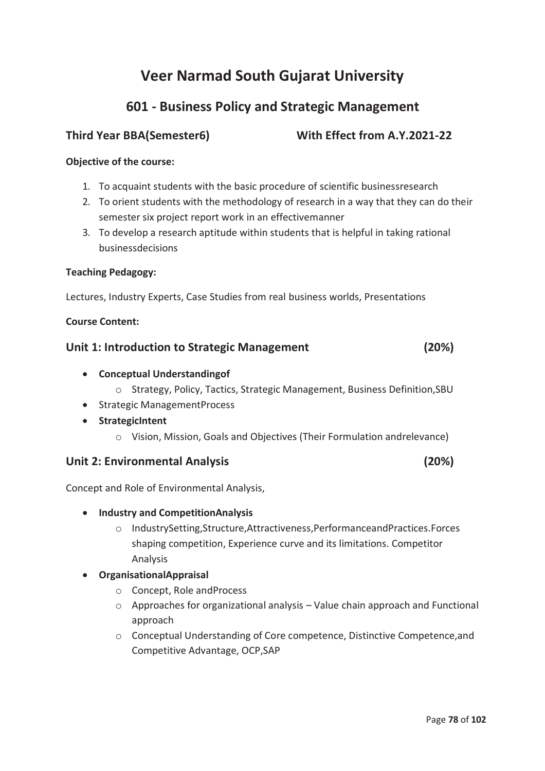## **601 - Business Policy and Strategic Management**

### **Third Year BBA(Semester6) With Effect from A.Y.2021-22**

### **Objective of the course:**

- 1. To acquaint students with the basic procedure of scientific businessresearch
- 2. To orient students with the methodology of research in a way that they can do their semester six project report work in an effectivemanner
- 3. To develop a research aptitude within students that is helpful in taking rational businessdecisions

#### **Teaching Pedagogy:**

Lectures, Industry Experts, Case Studies from real business worlds, Presentations

#### **Course Content:**

### **Unit 1: Introduction to Strategic Management (20%)**

- · **Conceptual Understandingof**
	- o Strategy, Policy, Tactics, Strategic Management, Business Definition,SBU
- · Strategic ManagementProcess
- · **StrategicIntent**
	- o Vision, Mission, Goals and Objectives (Their Formulation andrelevance)

### **Unit 2: Environmental Analysis (20%)**

Concept and Role of Environmental Analysis,

- · **Industry and CompetitionAnalysis**
	- o IndustrySetting,Structure,Attractiveness,PerformanceandPractices.Forces shaping competition, Experience curve and its limitations. Competitor Analysis

### · **OrganisationalAppraisal**

- o Concept, Role andProcess
- o Approaches for organizational analysis Value chain approach and Functional approach
- o Conceptual Understanding of Core competence, Distinctive Competence,and Competitive Advantage, OCP,SAP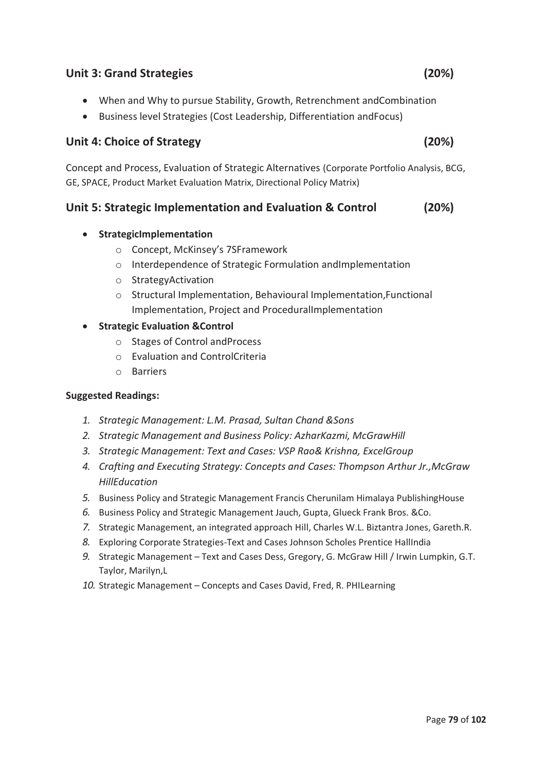### **Unit 3: Grand Strategies (20%)**

- · When and Why to pursue Stability, Growth, Retrenchment andCombination
- · Business level Strategies (Cost Leadership, Differentiation andFocus)

### **Unit 4: Choice of Strategy (20%)**

Concept and Process, Evaluation of Strategic Alternatives (Corporate Portfolio Analysis, BCG, GE, SPACE, Product Market Evaluation Matrix, Directional Policy Matrix)

### **Unit 5: Strategic Implementation and Evaluation & Control (20%)**

### · **StrategicImplementation**

- o Concept, McKinsey's 7SFramework
- o Interdependence of Strategic Formulation andImplementation
- o StrategyActivation
- o Structural Implementation, Behavioural Implementation,Functional Implementation, Project and ProceduralImplementation
- · **Strategic Evaluation &Control**
	- o Stages of Control andProcess
	- o Evaluation and ControlCriteria
	- o Barriers

#### **Suggested Readings:**

- *1. Strategic Management: L.M. Prasad, Sultan Chand &Sons*
- *2. Strategic Management and Business Policy: AzharKazmi, McGrawHill*
- *3. Strategic Management: Text and Cases: VSP Rao& Krishna, ExcelGroup*
- *4. Crafting and Executing Strategy: Concepts and Cases: Thompson Arthur Jr.,McGraw HillEducation*
- *5.* Business Policy and Strategic Management Francis Cherunilam Himalaya PublishingHouse
- *6.* Business Policy and Strategic Management Jauch, Gupta, Glueck Frank Bros. &Co.
- *7.* Strategic Management, an integrated approach Hill, Charles W.L. Biztantra Jones, Gareth.R.
- *8.* Exploring Corporate Strategies-Text and Cases Johnson Scholes Prentice HallIndia
- *9.* Strategic Management Text and Cases Dess, Gregory, G. McGraw Hill / Irwin Lumpkin, G.T. Taylor, Marilyn,L
- *10.* Strategic Management Concepts and Cases David, Fred, R. PHILearning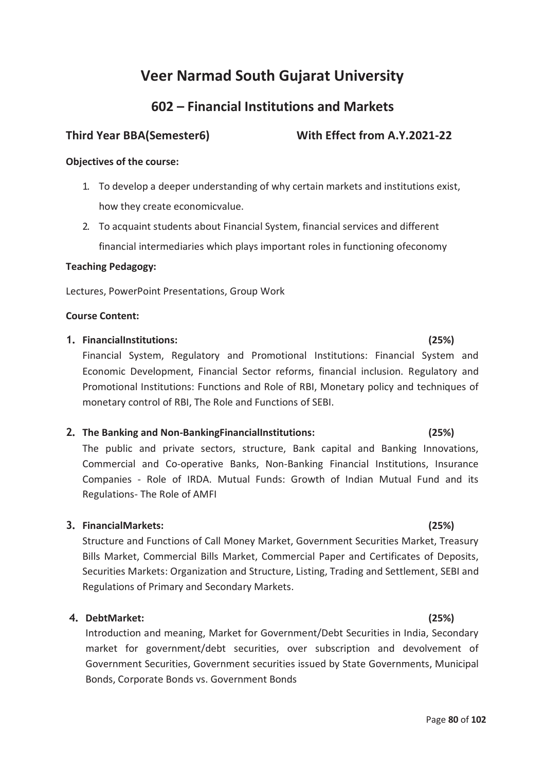## **602 – Financial Institutions and Markets**

### **Third Year BBA(Semester6) With Effect from A.Y.2021-22**

### **Objectives of the course:**

- 1. To develop a deeper understanding of why certain markets and institutions exist, how they create economicvalue.
- 2. To acquaint students about Financial System, financial services and different financial intermediaries which plays important roles in functioning ofeconomy

#### **Teaching Pedagogy:**

Lectures, PowerPoint Presentations, Group Work

#### **Course Content:**

#### **1. FinancialInstitutions: (25%)**

Financial System, Regulatory and Promotional Institutions: Financial System and Economic Development, Financial Sector reforms, financial inclusion. Regulatory and Promotional Institutions: Functions and Role of RBI, Monetary policy and techniques of monetary control of RBI, The Role and Functions of SEBI.

### **2. The Banking and Non-BankingFinancialInstitutions: (25%)**

The public and private sectors, structure, Bank capital and Banking Innovations, Commercial and Co-operative Banks, Non-Banking Financial Institutions, Insurance Companies - Role of IRDA. Mutual Funds: Growth of Indian Mutual Fund and its Regulations- The Role of AMFI

### **3. FinancialMarkets: (25%)**

Structure and Functions of Call Money Market, Government Securities Market, Treasury Bills Market, Commercial Bills Market, Commercial Paper and Certificates of Deposits, Securities Markets: Organization and Structure, Listing, Trading and Settlement, SEBI and Regulations of Primary and Secondary Markets.

### **4. DebtMarket: (25%)**

Introduction and meaning, Market for Government/Debt Securities in India, Secondary market for government/debt securities, over subscription and devolvement of Government Securities, Government securities issued by State Governments, Municipal Bonds, Corporate Bonds vs. Government Bonds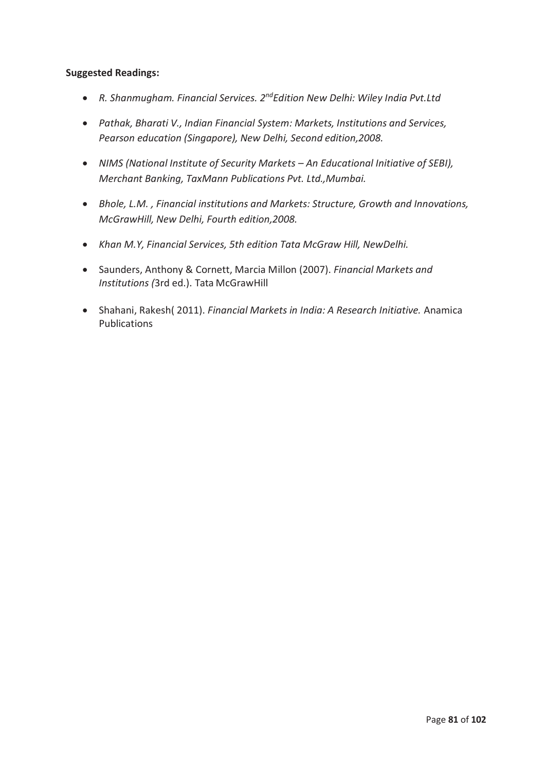#### **Suggested Readings:**

- · *R. Shanmugham. Financial Services. 2ndEdition New Delhi: Wiley India Pvt.Ltd*
- · *Pathak, Bharati V., Indian Financial System: Markets, Institutions and Services, Pearson education (Singapore), New Delhi, Second edition,2008.*
- · *NIMS (National Institute of Security Markets – An Educational Initiative of SEBI), Merchant Banking, TaxMann Publications Pvt. Ltd.,Mumbai.*
- · *Bhole, L.M. , Financial institutions and Markets: Structure, Growth and Innovations, McGrawHill, New Delhi, Fourth edition,2008.*
- · *Khan M.Y, Financial Services, 5th edition Tata McGraw Hill, NewDelhi.*
- · Saunders, Anthony & Cornett, Marcia Millon (2007). *Financial Markets and Institutions (*3rd ed.). Tata McGrawHill
- · Shahani, Rakesh( 2011). *Financial Markets in India: A Research Initiative.* Anamica Publications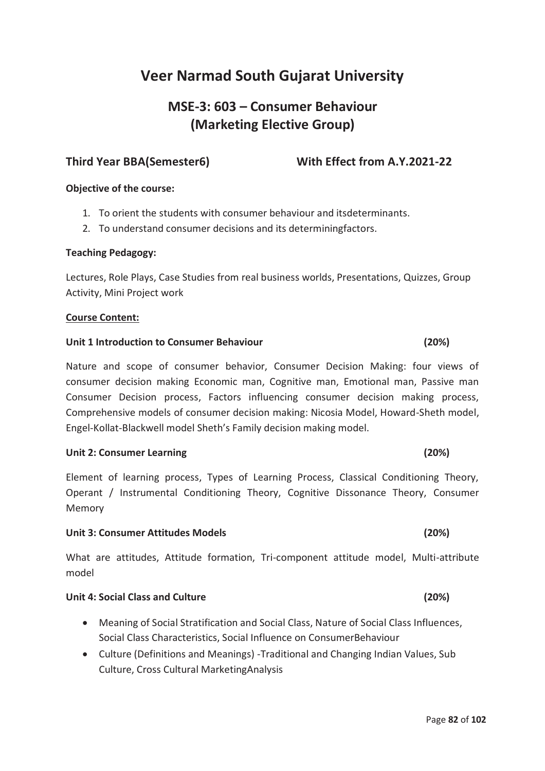## **MSE-3: 603 – Consumer Behaviour (Marketing Elective Group)**

### **Third Year BBA(Semester6) With Effect from A.Y.2021-22**

### **Objective of the course:**

- 1. To orient the students with consumer behaviour and itsdeterminants.
- 2. To understand consumer decisions and its determiningfactors.

#### **Teaching Pedagogy:**

Lectures, Role Plays, Case Studies from real business worlds, Presentations, Quizzes, Group Activity, Mini Project work

#### **Course Content:**

#### **Unit 1 Introduction to Consumer Behaviour (20%)**

Nature and scope of consumer behavior, Consumer Decision Making: four views of consumer decision making Economic man, Cognitive man, Emotional man, Passive man Consumer Decision process, Factors influencing consumer decision making process, Comprehensive models of consumer decision making: Nicosia Model, Howard-Sheth model, Engel-Kollat-Blackwell model Sheth's Family decision making model.

#### **Unit 2: Consumer Learning (20%)**

Element of learning process, Types of Learning Process, Classical Conditioning Theory, Operant / Instrumental Conditioning Theory, Cognitive Dissonance Theory, Consumer Memory

#### **Unit 3: Consumer Attitudes Models (20%)**

What are attitudes, Attitude formation, Tri-component attitude model, Multi-attribute model

### **Unit 4: Social Class and Culture (20%) (20%)**

- · Meaning of Social Stratification and Social Class, Nature of Social Class Influences, Social Class Characteristics, Social Influence on ConsumerBehaviour
- · Culture (Definitions and Meanings) -Traditional and Changing Indian Values, Sub Culture, Cross Cultural MarketingAnalysis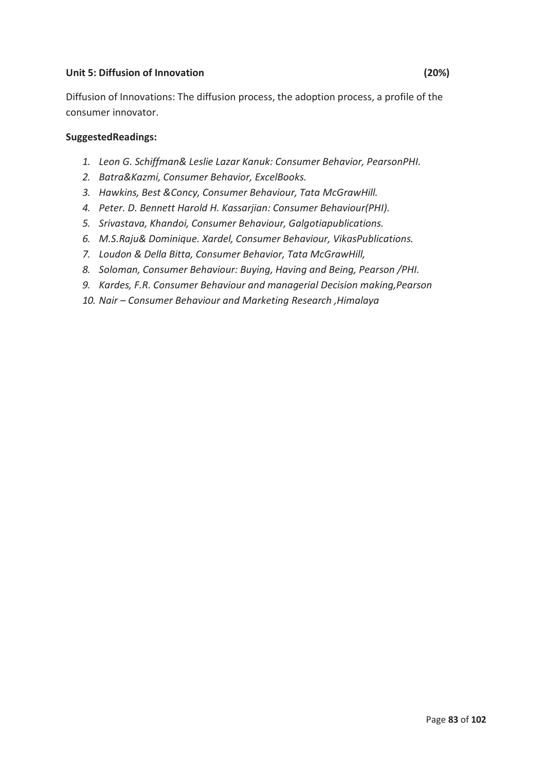### **Unit 5: Diffusion of Innovation (20%)**

Diffusion of Innovations: The diffusion process, the adoption process, a profile of the consumer innovator.

### **SuggestedReadings:**

- *1. Leon G. Schiffman& Leslie Lazar Kanuk: Consumer Behavior, PearsonPHI.*
- *2. Batra&Kazmi, Consumer Behavior, ExcelBooks.*
- *3. Hawkins, Best &Concy, Consumer Behaviour, Tata McGrawHill.*
- *4. Peter. D. Bennett Harold H. Kassarjian: Consumer Behaviour(PHI).*
- *5. Srivastava, Khandoi, Consumer Behaviour, Galgotiapublications.*
- *6. M.S.Raju& Dominique. Xardel, Consumer Behaviour, VikasPublications.*
- *7. Loudon & Della Bitta, Consumer Behavior, Tata McGrawHill,*
- *8. Soloman, Consumer Behaviour: Buying, Having and Being, Pearson /PHI.*
- *9. Kardes, F.R. Consumer Behaviour and managerial Decision making,Pearson*
- *10. Nair – Consumer Behaviour and Marketing Research ,Himalaya*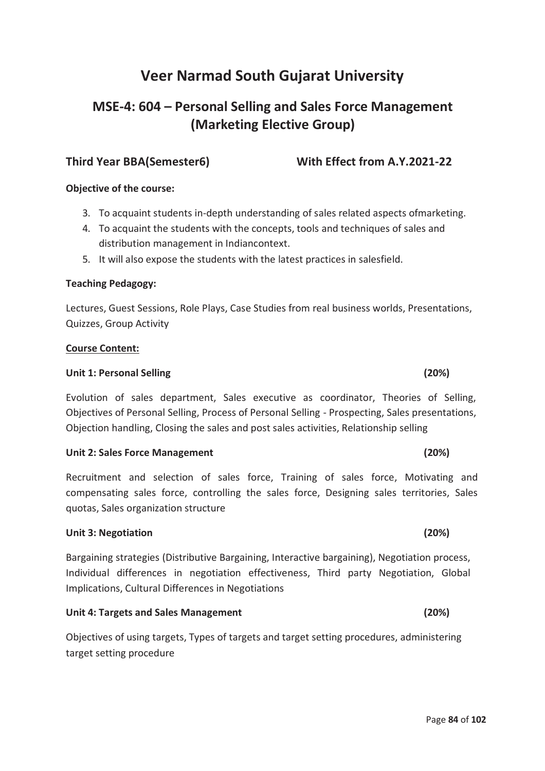#### Page **84** of **102**

## **Veer Narmad South Gujarat University**

## **MSE-4: 604 – Personal Selling and Sales Force Management (Marketing Elective Group)**

#### **Objective of the course:**

- 3. To acquaint students in-depth understanding of sales related aspects ofmarketing.
- 4. To acquaint the students with the concepts, tools and techniques of sales and distribution management in Indiancontext.
- 5. It will also expose the students with the latest practices in salesfield.

#### **Teaching Pedagogy:**

Lectures, Guest Sessions, Role Plays, Case Studies from real business worlds, Presentations, Quizzes, Group Activity

#### **Course Content:**

#### **Unit 1: Personal Selling (20%)**

Evolution of sales department, Sales executive as coordinator, Theories of Selling, Objectives of Personal Selling, Process of Personal Selling - Prospecting, Sales presentations, Objection handling, Closing the sales and post sales activities, Relationship selling

#### **Unit 2: Sales Force Management (20%)**

Recruitment and selection of sales force, Training of sales force, Motivating and compensating sales force, controlling the sales force, Designing sales territories, Sales quotas, Sales organization structure

#### **Unit 3: Negotiation (20%)**

Bargaining strategies (Distributive Bargaining, Interactive bargaining), Negotiation process, Individual differences in negotiation effectiveness, Third party Negotiation, Global Implications, Cultural Differences in Negotiations

#### **Unit 4: Targets and Sales Management (20%)**

Objectives of using targets, Types of targets and target setting procedures, administering target setting procedure

## **Third Year BBA(Semester6) With Effect from A.Y.2021-22**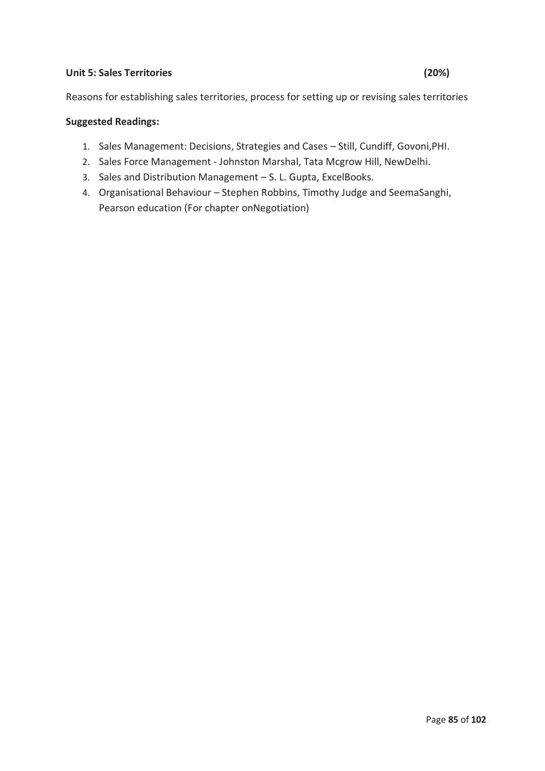#### **Unit 5: Sales Territories (20%)**

Reasons for establishing sales territories, process for setting up or revising sales territories

#### **Suggested Readings:**

- 1. Sales Management: Decisions, Strategies and Cases Still, Cundiff, Govoni,PHI.
- 2. Sales Force Management Johnston Marshal, Tata Mcgrow Hill, NewDelhi.
- 3. Sales and Distribution Management S. L. Gupta, ExcelBooks.
- 4. Organisational Behaviour Stephen Robbins, Timothy Judge and SeemaSanghi, Pearson education (For chapter onNegotiation)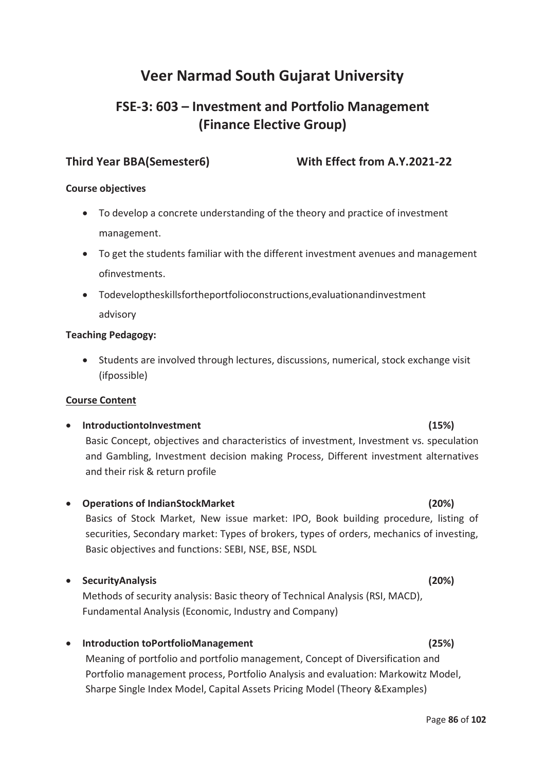## **FSE-3: 603 – Investment and Portfolio Management (Finance Elective Group)**

### **Third Year BBA(Semester6) With Effect from A.Y.2021-22**

#### **Course objectives**

- · To develop a concrete understanding of the theory and practice of investment management.
- · To get the students familiar with the different investment avenues and management ofinvestments.
- · Todeveloptheskillsfortheportfolioconstructions,evaluationandinvestment advisory

#### **Teaching Pedagogy:**

· Students are involved through lectures, discussions, numerical, stock exchange visit (ifpossible)

#### **Course Content**

- · **IntroductiontoInvestment (15%)**  Basic Concept, objectives and characteristics of investment, Investment vs. speculation and Gambling, Investment decision making Process, Different investment alternatives and their risk & return profile
- · **Operations of IndianStockMarket (20%)**

Basics of Stock Market, New issue market: IPO, Book building procedure, listing of securities, Secondary market: Types of brokers, types of orders, mechanics of investing, Basic objectives and functions: SEBI, NSE, BSE, NSDL

#### · **SecurityAnalysis (20%)**

Methods of security analysis: Basic theory of Technical Analysis (RSI, MACD), Fundamental Analysis (Economic, Industry and Company)

· **Introduction toPortfolioManagement (25%)**  Meaning of portfolio and portfolio management, Concept of Diversification and Portfolio management process, Portfolio Analysis and evaluation: Markowitz Model, Sharpe Single Index Model, Capital Assets Pricing Model (Theory &Examples)

#### Page **86** of **102**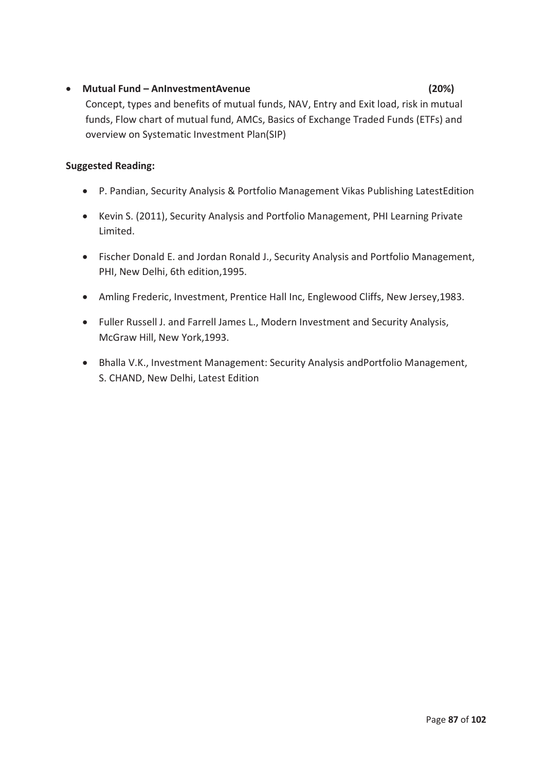### · **Mutual Fund – AnInvestmentAvenue (20%)**

Concept, types and benefits of mutual funds, NAV, Entry and Exit load, risk in mutual funds, Flow chart of mutual fund, AMCs, Basics of Exchange Traded Funds (ETFs) and overview on Systematic Investment Plan(SIP)

### **Suggested Reading:**

- · P. Pandian, Security Analysis & Portfolio Management Vikas Publishing LatestEdition
- · Kevin S. (2011), Security Analysis and Portfolio Management, PHI Learning Private Limited.
- · Fischer Donald E. and Jordan Ronald J., Security Analysis and Portfolio Management, PHI, New Delhi, 6th edition,1995.
- · Amling Frederic, Investment, Prentice Hall Inc, Englewood Cliffs, New Jersey,1983.
- · Fuller Russell J. and Farrell James L., Modern Investment and Security Analysis, McGraw Hill, New York,1993.
- · Bhalla V.K., Investment Management: Security Analysis andPortfolio Management, S. CHAND, New Delhi, Latest Edition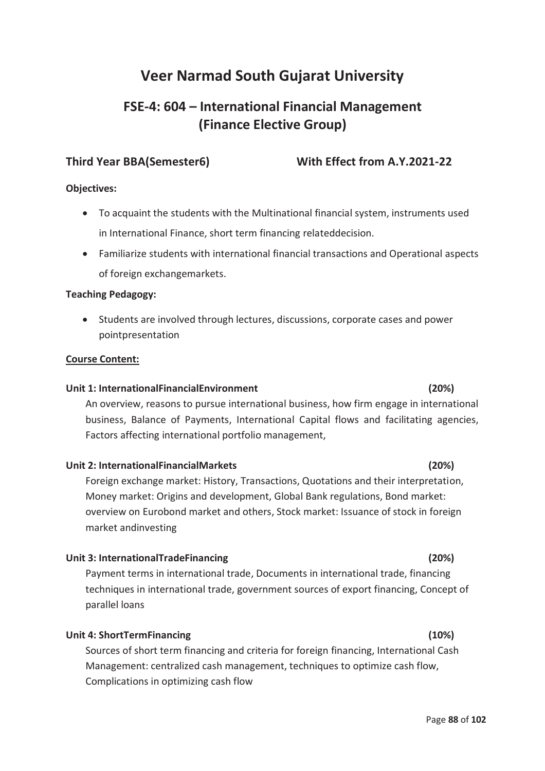## **FSE-4: 604 – International Financial Management (Finance Elective Group)**

### **Third Year BBA(Semester6) With Effect from A.Y.2021-22**

#### **Objectives:**

- · To acquaint the students with the Multinational financial system, instruments used in International Finance, short term financing relateddecision.
- · Familiarize students with international financial transactions and Operational aspects of foreign exchangemarkets.

#### **Teaching Pedagogy:**

· Students are involved through lectures, discussions, corporate cases and power pointpresentation

#### **Course Content:**

#### **Unit 1: InternationalFinancialEnvironment (20%)**

An overview, reasons to pursue international business, how firm engage in international business, Balance of Payments, International Capital flows and facilitating agencies, Factors affecting international portfolio management,

#### **Unit 2: InternationalFinancialMarkets (20%)**

Foreign exchange market: History, Transactions, Quotations and their interpretation, Money market: Origins and development, Global Bank regulations, Bond market: overview on Eurobond market and others, Stock market: Issuance of stock in foreign market andinvesting

#### **Unit 3: InternationalTradeFinancing (20%)**

Payment terms in international trade, Documents in international trade, financing techniques in international trade, government sources of export financing, Concept of parallel loans

#### **Unit 4: ShortTermFinancing (10%)**

Sources of short term financing and criteria for foreign financing, International Cash Management: centralized cash management, techniques to optimize cash flow, Complications in optimizing cash flow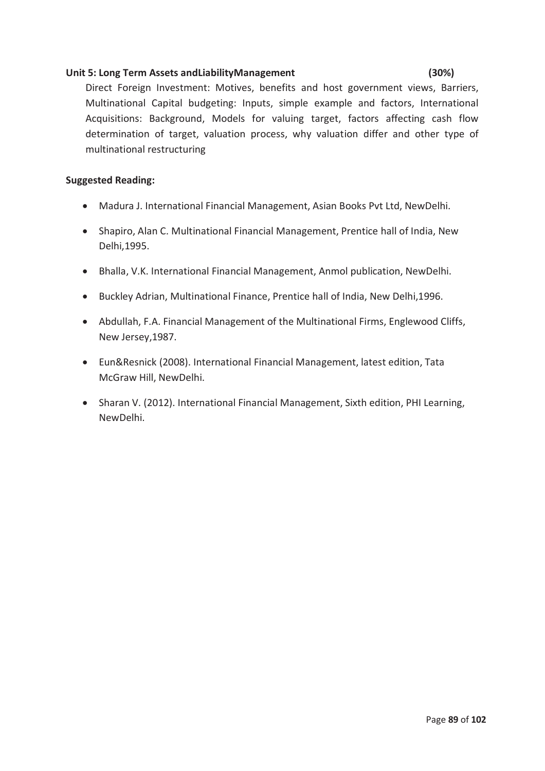### **Unit 5: Long Term Assets andLiabilityManagement (30%)**

Direct Foreign Investment: Motives, benefits and host government views, Barriers, Multinational Capital budgeting: Inputs, simple example and factors, International Acquisitions: Background, Models for valuing target, factors affecting cash flow determination of target, valuation process, why valuation differ and other type of multinational restructuring

#### **Suggested Reading:**

- · Madura J. International Financial Management, Asian Books Pvt Ltd, NewDelhi.
- · Shapiro, Alan C. Multinational Financial Management, Prentice hall of India, New Delhi,1995.
- · Bhalla, V.K. International Financial Management, Anmol publication, NewDelhi.
- · Buckley Adrian, Multinational Finance, Prentice hall of India, New Delhi,1996.
- · Abdullah, F.A. Financial Management of the Multinational Firms, Englewood Cliffs, New Jersey,1987.
- · Eun&Resnick (2008). International Financial Management, latest edition, Tata McGraw Hill, NewDelhi.
- · Sharan V. (2012). International Financial Management, Sixth edition, PHI Learning, NewDelhi.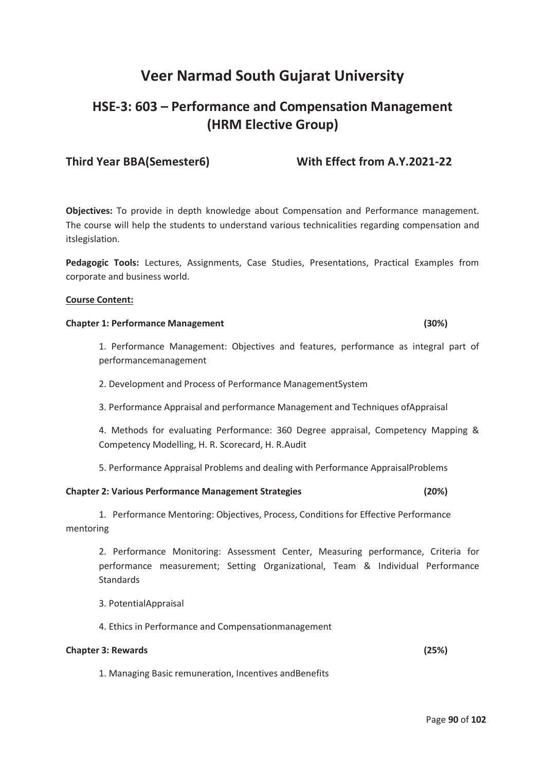## **HSE-3: 603 – Performance and Compensation Management (HRM Elective Group)**

### **Third Year BBA(Semester6) With Effect from A.Y.2021-22**

**Objectives:** To provide in depth knowledge about Compensation and Performance management. The course will help the students to understand various technicalities regarding compensation and itslegislation.

**Pedagogic Tools:** Lectures, Assignments, Case Studies, Presentations, Practical Examples from corporate and business world.

#### **Course Content:**

#### **Chapter 1: Performance Management (30%)**

1. Performance Management: Objectives and features, performance as integral part of performancemanagement

- 2. Development and Process of Performance ManagementSystem
- 3. Performance Appraisal and performance Management and Techniques ofAppraisal

4. Methods for evaluating Performance: 360 Degree appraisal, Competency Mapping & Competency Modelling, H. R. Scorecard, H. R.Audit

5. Performance Appraisal Problems and dealing with Performance AppraisalProblems

#### **Chapter 2: Various Performance Management Strategies (20%)**

1. Performance Mentoring: Objectives, Process, Conditions for Effective Performance mentoring

2. Performance Monitoring: Assessment Center, Measuring performance, Criteria for performance measurement; Setting Organizational, Team & Individual Performance Standards

- 3. PotentialAppraisal
- 4. Ethics in Performance and Compensationmanagement

#### **Chapter 3: Rewards (25%)**

1. Managing Basic remuneration, Incentives andBenefits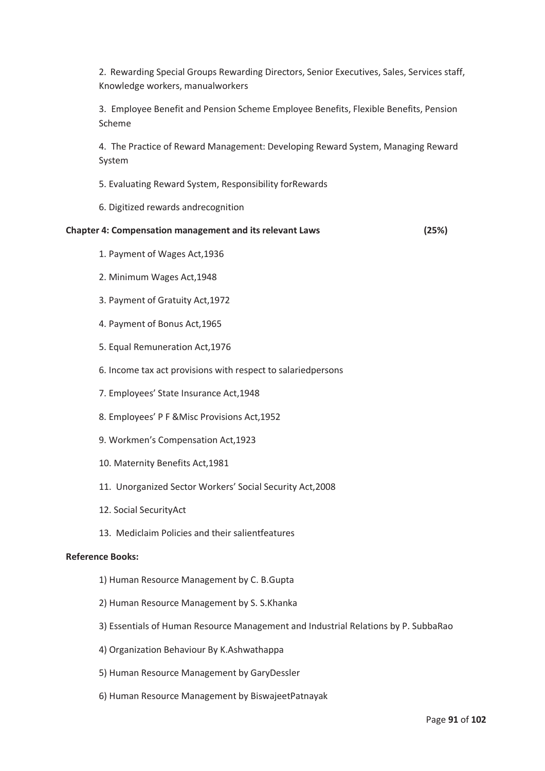2. Rewarding Special Groups Rewarding Directors, Senior Executives, Sales, Services staff, Knowledge workers, manualworkers

3. Employee Benefit and Pension Scheme Employee Benefits, Flexible Benefits, Pension Scheme

4. The Practice of Reward Management: Developing Reward System, Managing Reward System

- 5. Evaluating Reward System, Responsibility forRewards
- 6. Digitized rewards andrecognition

#### **Chapter 4: Compensation management and its relevant Laws (25%)**

- 1. Payment of Wages Act,1936
- 2. Minimum Wages Act,1948
- 3. Payment of Gratuity Act,1972
- 4. Payment of Bonus Act,1965
- 5. Equal Remuneration Act,1976
- 6. Income tax act provisions with respect to salariedpersons
- 7. Employees' State Insurance Act,1948
- 8. Employees' P F &Misc Provisions Act,1952
- 9. Workmen's Compensation Act,1923
- 10. Maternity Benefits Act,1981
- 11. Unorganized Sector Workers' Social Security Act,2008
- 12. Social SecurityAct
- 13. Mediclaim Policies and their salientfeatures

#### **Reference Books:**

- 1) Human Resource Management by C. B.Gupta
- 2) Human Resource Management by S. S.Khanka
- 3) Essentials of Human Resource Management and Industrial Relations by P. SubbaRao
- 4) Organization Behaviour By K.Ashwathappa
- 5) Human Resource Management by GaryDessler
- 6) Human Resource Management by BiswajeetPatnayak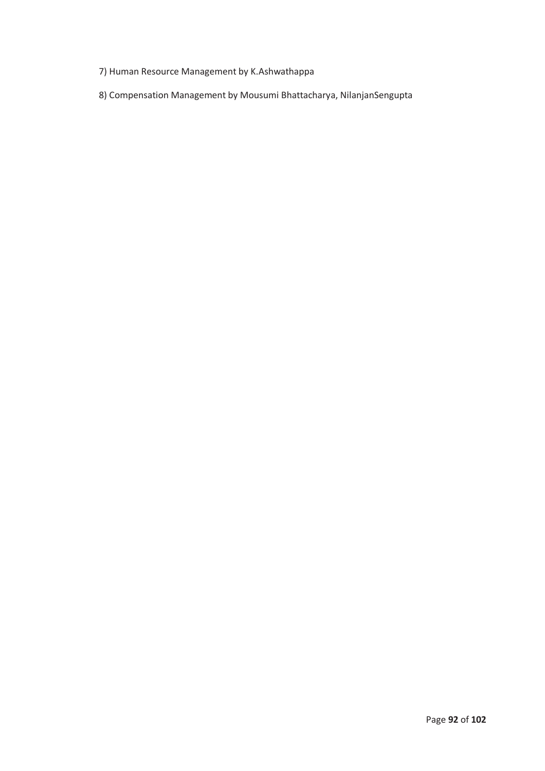7) Human Resource Management by K.Ashwathappa

8) Compensation Management by Mousumi Bhattacharya, NilanjanSengupta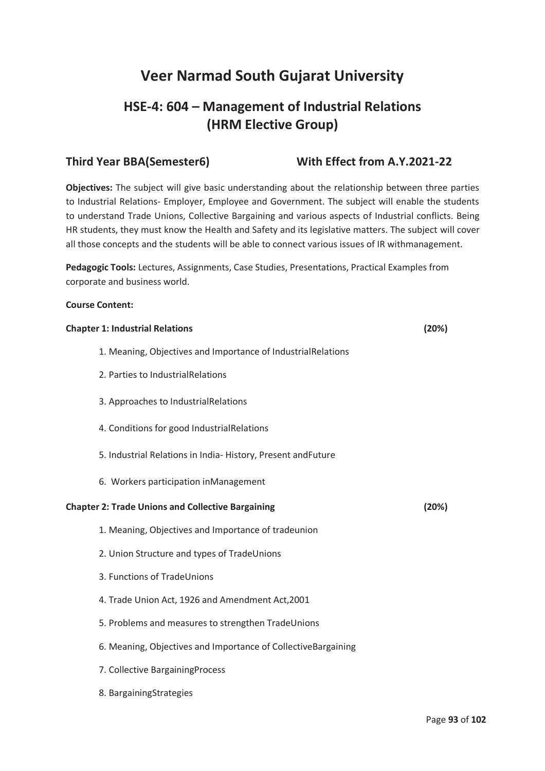## **HSE-4: 604 – Management of Industrial Relations (HRM Elective Group)**

### **Third Year BBA(Semester6) With Effect from A.Y.2021-22**

**Objectives:** The subject will give basic understanding about the relationship between three parties to Industrial Relations- Employer, Employee and Government. The subject will enable the students to understand Trade Unions, Collective Bargaining and various aspects of Industrial conflicts. Being HR students, they must know the Health and Safety and its legislative matters. The subject will cover all those concepts and the students will be able to connect various issues of IR withmanagement.

**Pedagogic Tools:** Lectures, Assignments, Case Studies, Presentations, Practical Examples from corporate and business world.

#### **Course Content:**

8. BargainingStrategies

| <b>Chapter 1: Industrial Relations</b>                        | (20%) |
|---------------------------------------------------------------|-------|
| 1. Meaning, Objectives and Importance of IndustrialRelations  |       |
| 2. Parties to IndustrialRelations                             |       |
| 3. Approaches to IndustrialRelations                          |       |
| 4. Conditions for good IndustrialRelations                    |       |
| 5. Industrial Relations in India-History, Present andFuture   |       |
| 6. Workers participation inManagement                         |       |
| <b>Chapter 2: Trade Unions and Collective Bargaining</b>      | (20%) |
| 1. Meaning, Objectives and Importance of tradeunion           |       |
| 2. Union Structure and types of TradeUnions                   |       |
| 3. Functions of TradeUnions                                   |       |
| 4. Trade Union Act, 1926 and Amendment Act, 2001              |       |
| 5. Problems and measures to strengthen TradeUnions            |       |
| 6. Meaning, Objectives and Importance of CollectiveBargaining |       |
| 7. Collective BargainingProcess                               |       |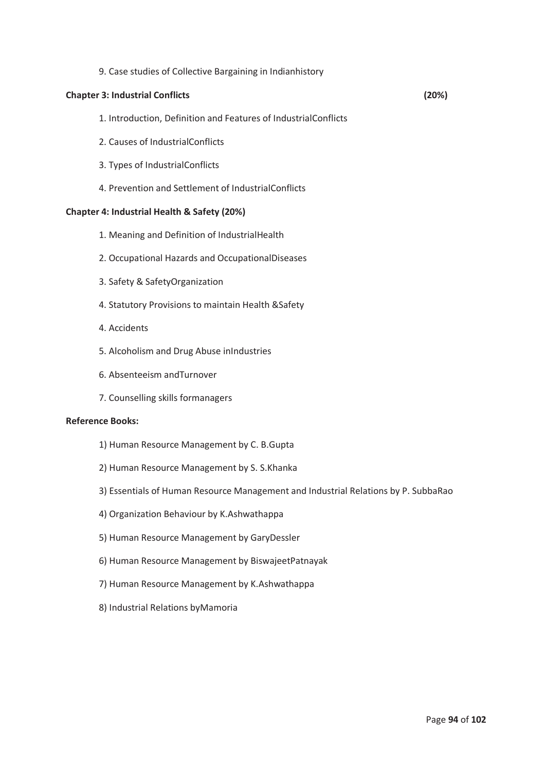9. Case studies of Collective Bargaining in Indianhistory

#### **Chapter 3: Industrial Conflicts (20%)**

- 1. Introduction, Definition and Features of IndustrialConflicts
- 2. Causes of IndustrialConflicts
- 3. Types of IndustrialConflicts
- 4. Prevention and Settlement of IndustrialConflicts

#### **Chapter 4: Industrial Health & Safety (20%)**

- 1. Meaning and Definition of IndustrialHealth
- 2. Occupational Hazards and OccupationalDiseases
- 3. Safety & SafetyOrganization
- 4. Statutory Provisions to maintain Health &Safety
- 4. Accidents
- 5. Alcoholism and Drug Abuse inIndustries
- 6. Absenteeism andTurnover
- 7. Counselling skills formanagers

#### **Reference Books:**

- 1) Human Resource Management by C. B.Gupta
- 2) Human Resource Management by S. S.Khanka
- 3) Essentials of Human Resource Management and Industrial Relations by P. SubbaRao
- 4) Organization Behaviour by K.Ashwathappa
- 5) Human Resource Management by GaryDessler
- 6) Human Resource Management by BiswajeetPatnayak
- 7) Human Resource Management by K.Ashwathappa
- 8) Industrial Relations byMamoria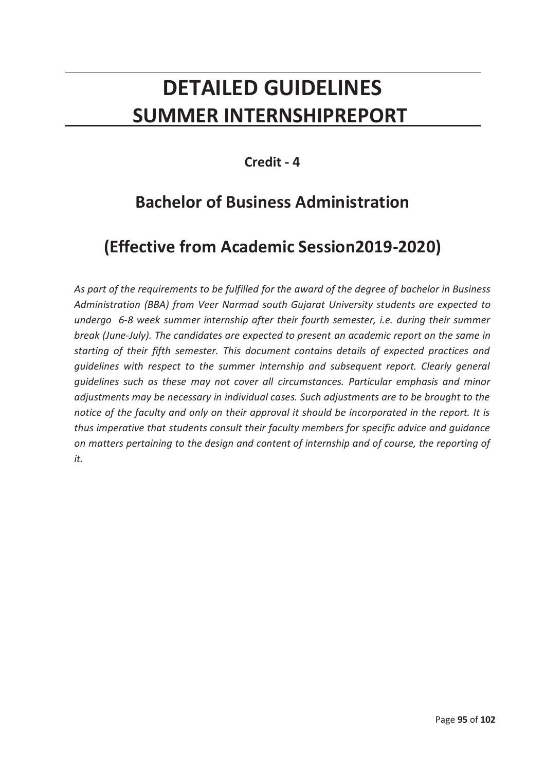# **DETAILED GUIDELINES SUMMER INTERNSHIPREPORT**

## **Credit - 4**

## **Bachelor of Business Administration**

# **(Effective from Academic Session2019-2020)**

*As part of the requirements to be fulfilled for the award of the degree of bachelor in Business Administration (BBA) from Veer Narmad south Gujarat University students are expected to undergo 6-8 week summer internship after their fourth semester, i.e. during their summer break (June-July). The candidates are expected to present an academic report on the same in starting of their fifth semester. This document contains details of expected practices and guidelines with respect to the summer internship and subsequent report. Clearly general guidelines such as these may not cover all circumstances. Particular emphasis and minor adjustments may be necessary in individual cases. Such adjustments are to be brought to the notice of the faculty and only on their approval it should be incorporated in the report. It is thus imperative that students consult their faculty members for specific advice and guidance on matters pertaining to the design and content of internship and of course, the reporting of it.*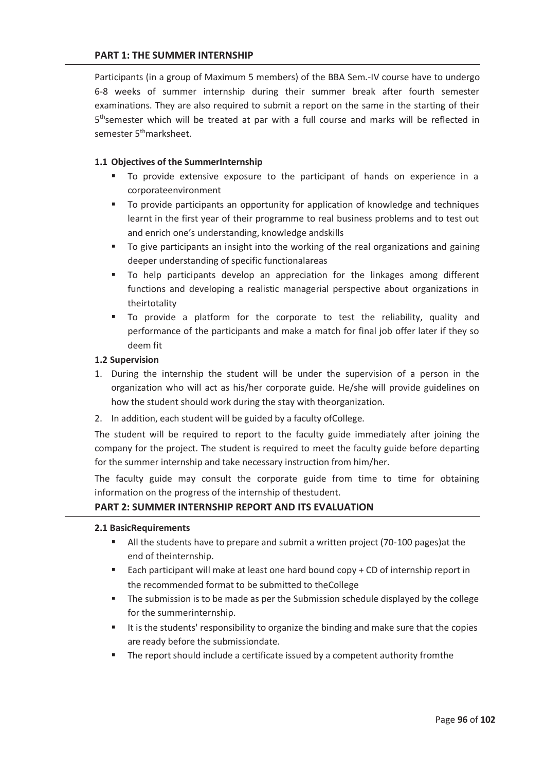#### **PART 1: THE SUMMER INTERNSHIP**

Participants (in a group of Maximum 5 members) of the BBA Sem.-IV course have to undergo 6-8 weeks of summer internship during their summer break after fourth semester examinations. They are also required to submit a report on the same in the starting of their 5<sup>th</sup>semester which will be treated at par with a full course and marks will be reflected in semester 5<sup>th</sup>marksheet.

#### **1.1 Objectives of the SummerInternship**

- ß To provide extensive exposure to the participant of hands on experience in a corporateenvironment
- **To provide participants an opportunity for application of knowledge and techniques** learnt in the first year of their programme to real business problems and to test out and enrich one's understanding, knowledge andskills
- ß To give participants an insight into the working of the real organizations and gaining deeper understanding of specific functionalareas
- ß To help participants develop an appreciation for the linkages among different functions and developing a realistic managerial perspective about organizations in theirtotality
- ß To provide a platform for the corporate to test the reliability, quality and performance of the participants and make a match for final job offer later if they so deem fit

#### **1.2 Supervision**

- 1. During the internship the student will be under the supervision of a person in the organization who will act as his/her corporate guide. He/she will provide guidelines on how the student should work during the stay with theorganization.
- 2. In addition, each student will be guided by a faculty ofCollege.

The student will be required to report to the faculty guide immediately after joining the company for the project. The student is required to meet the faculty guide before departing for the summer internship and take necessary instruction from him/her.

The faculty guide may consult the corporate guide from time to time for obtaining information on the progress of the internship of thestudent.

#### **PART 2: SUMMER INTERNSHIP REPORT AND ITS EVALUATION**

#### **2.1 BasicRequirements**

- All the students have to prepare and submit a written project (70-100 pages) at the end of theinternship.
- **Each participant will make at least one hard bound copy + CD of internship report in** the recommended format to be submitted to theCollege
- **The submission is to be made as per the Submission schedule displayed by the college** for the summerinternship.
- **If is the students' responsibility to organize the binding and make sure that the copies** are ready before the submissiondate.
- **F** The report should include a certificate issued by a competent authority fromthe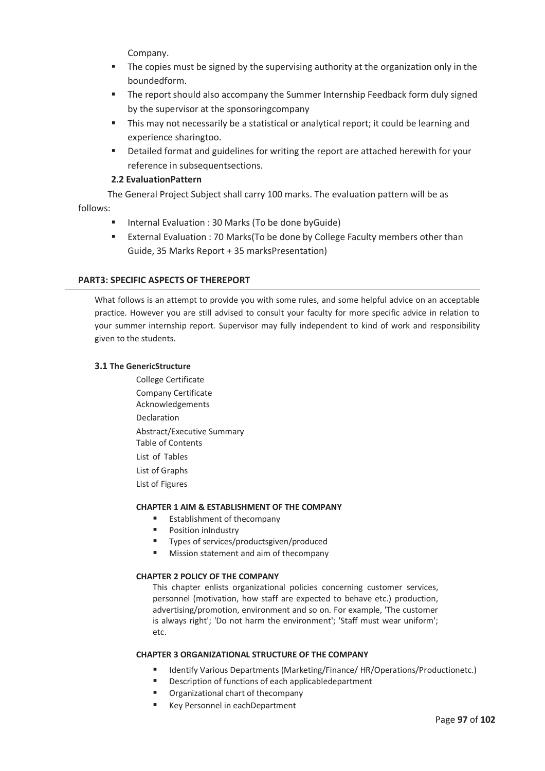Company.

- **F** The copies must be signed by the supervising authority at the organization only in the boundedform.
- **•** The report should also accompany the Summer Internship Feedback form duly signed by the supervisor at the sponsoringcompany
- **F** This may not necessarily be a statistical or analytical report; it could be learning and experience sharingtoo.
- **EXECT** Detailed format and guidelines for writing the report are attached herewith for your reference in subsequentsections.

#### **2.2 EvaluationPattern**

The General Project Subject shall carry 100 marks. The evaluation pattern will be as follows:

- **E** Internal Evaluation : 30 Marks (To be done byGuide)
- ß External Evaluation : 70 Marks(To be done by College Faculty members other than Guide, 35 Marks Report + 35 marksPresentation)

#### **PART3: SPECIFIC ASPECTS OF THEREPORT**

What follows is an attempt to provide you with some rules, and some helpful advice on an acceptable practice. However you are still advised to consult your faculty for more specific advice in relation to your summer internship report. Supervisor may fully independent to kind of work and responsibility given to the students.

#### **3.1 The GenericStructure**

College Certificate Company Certificate Acknowledgements Declaration Abstract/Executive Summary Table of Contents List of Tables List of Graphs List of Figures

#### **CHAPTER 1 AIM & ESTABLISHMENT OF THE COMPANY**

- **Establishment of thecompany**
- **•** Position inIndustry
- Types of services/productsgiven/produced
- ß Mission statement and aim of thecompany

#### **CHAPTER 2 POLICY OF THE COMPANY**

This chapter enlists organizational policies concerning customer services, personnel (motivation, how staff are expected to behave etc.) production, advertising/promotion, environment and so on. For example, 'The customer is always right'; 'Do not harm the environment'; 'Staff must wear uniform'; etc.

#### **CHAPTER 3 ORGANIZATIONAL STRUCTURE OF THE COMPANY**

- Identify Various Departments (Marketing/Finance/ HR/Operations/Productionetc.)
- **■** Description of functions of each applicabledepartment
- ß Organizational chart of thecompany
- Key Personnel in eachDepartment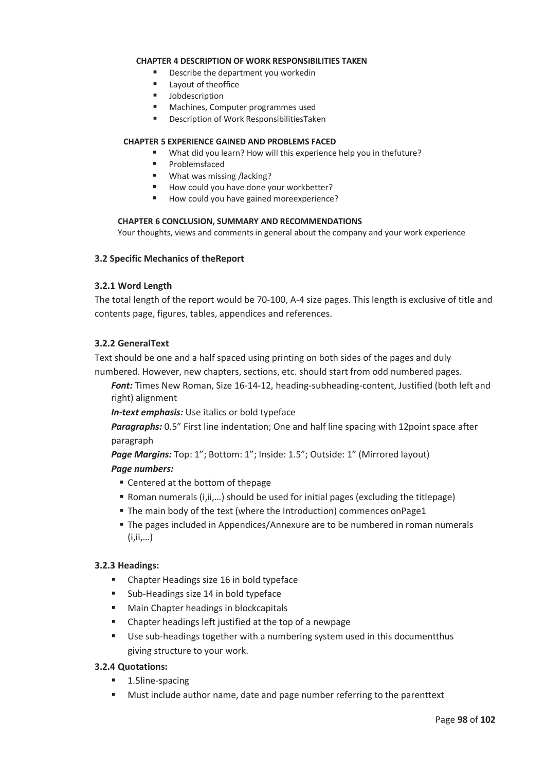#### **CHAPTER 4 DESCRIPTION OF WORK RESPONSIBILITIES TAKEN**

- **Describe the department you workedin**
- **Exercise** Layout of theoffice
- **■** Jobdescription
- **■** Machines, Computer programmes used
- **E** Description of Work ResponsibilitiesTaken

#### **CHAPTER 5 EXPERIENCE GAINED AND PROBLEMS FACED**

- What did you learn? How will this experience help you in thefuture?
- **■** Problemsfaced
- What was missing /lacking?
- How could you have done your workbetter?
- How could you have gained moreexperience?

#### **CHAPTER 6 CONCLUSION, SUMMARY AND RECOMMENDATIONS**

Your thoughts, views and comments in general about the company and your work experience

#### **3.2 Specific Mechanics of theReport**

#### **3.2.1 Word Length**

The total length of the report would be 70-100, A-4 size pages. This length is exclusive of title and contents page, figures, tables, appendices and references.

#### **3.2.2 GeneralText**

Text should be one and a half spaced using printing on both sides of the pages and duly numbered. However, new chapters, sections, etc. should start from odd numbered pages.

*Font:* Times New Roman, Size 16-14-12, heading-subheading-content, Justified (both left and right) alignment

*In-text emphasis:* Use italics or bold typeface

**Paragraphs:** 0.5" First line indentation; One and half line spacing with 12point space after paragraph

Page Margins: Top: 1"; Bottom: 1"; Inside: 1.5"; Outside: 1" (Mirrored layout)

#### *Page numbers:*

- Centered at the bottom of thepage
- Roman numerals (i,ii,...) should be used for initial pages (excluding the titlepage)
- The main body of the text (where the Introduction) commences onPage1
- **The pages included in Appendices/Annexure are to be numbered in roman numerals**  $(i, ii, \ldots)$

#### **3.2.3 Headings:**

- Chapter Headings size 16 in bold typeface
- **Sub-Headings size 14 in bold typeface**
- **KET** Main Chapter headings in blockcapitals
- **EXEC** Chapter headings left justified at the top of a newpage
- ß Use sub-headings together with a numbering system used in this documentthus giving structure to your work.

#### **3.2.4 Quotations:**

- $\blacksquare$  1.5line-spacing
- **Must include author name, date and page number referring to the parenttext**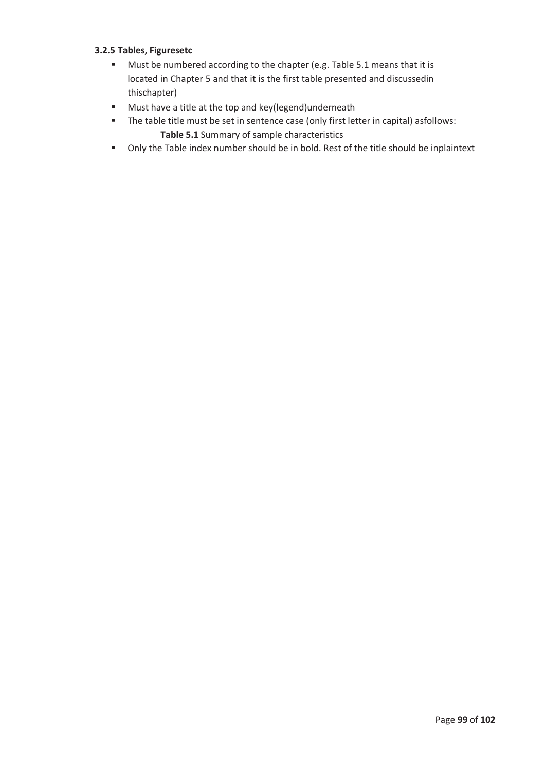#### **3.2.5 Tables, Figuresetc**

- Must be numbered according to the chapter (e.g. Table 5.1 means that it is located in Chapter 5 and that it is the first table presented and discussedin thischapter)
- **Must have a title at the top and key(legend)underneath**
- **The table title must be set in sentence case (only first letter in capital) asfollows: Table 5.1** Summary of sample characteristics
- **•** Only the Table index number should be in bold. Rest of the title should be inplaintext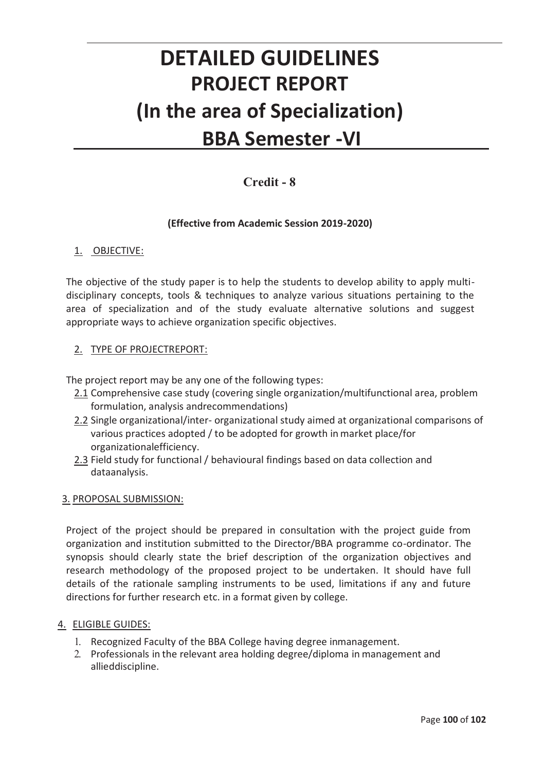# **DETAILED GUIDELINES PROJECT REPORT (In the area of Specialization) BBA Semester -VI**

### **Credit - 8**

### **(Effective from Academic Session 2019-2020)**

#### 1. OBJECTIVE:

The objective of the study paper is to help the students to develop ability to apply multidisciplinary concepts, tools & techniques to analyze various situations pertaining to the area of specialization and of the study evaluate alternative solutions and suggest appropriate ways to achieve organization specific objectives.

#### 2. TYPE OF PROJECTREPORT:

The project report may be any one of the following types:

- 2.1 Comprehensive case study (covering single organization/multifunctional area, problem formulation, analysis andrecommendations)
- 2.2 Single organizational/inter- organizational study aimed at organizational comparisons of various practices adopted / to be adopted for growth in market place/for organizationalefficiency.
- 2.3 Field study for functional / behavioural findings based on data collection and dataanalysis.

#### 3. PROPOSAL SUBMISSION:

Project of the project should be prepared in consultation with the project guide from organization and institution submitted to the Director/BBA programme co-ordinator. The synopsis should clearly state the brief description of the organization objectives and research methodology of the proposed project to be undertaken. It should have full details of the rationale sampling instruments to be used, limitations if any and future directions for further research etc. in a format given by college.

#### 4. ELIGIBLE GUIDES:

- 1. Recognized Faculty of the BBA College having degree inmanagement.
- 2. Professionals in the relevant area holding degree/diploma in management and allieddiscipline.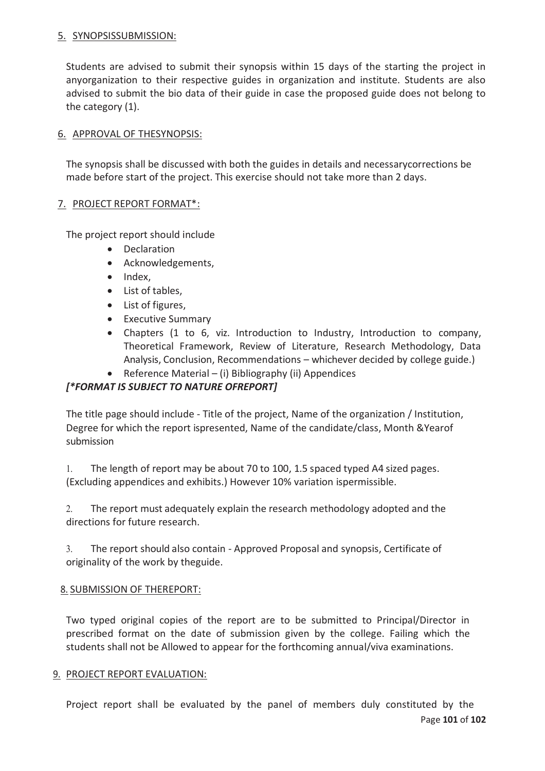#### 5. SYNOPSISSUBMISSION:

Students are advised to submit their synopsis within 15 days of the starting the project in anyorganization to their respective guides in organization and institute. Students are also advised to submit the bio data of their guide in case the proposed guide does not belong to the category (1).

### 6. APPROVAL OF THESYNOPSIS:

The synopsis shall be discussed with both the guides in details and necessarycorrections be made before start of the project. This exercise should not take more than 2 days.

### 7. PROJECT REPORT FORMAT\*:

The project report should include

- · Declaration
- · Acknowledgements,
- Index.
- · List of tables,
- · List of figures,
- · Executive Summary
- · Chapters (1 to 6, viz. Introduction to Industry, Introduction to company, Theoretical Framework, Review of Literature, Research Methodology, Data Analysis, Conclusion, Recommendations – whichever decided by college guide.)
- · Reference Material (i) Bibliography (ii) Appendices

### *[\*FORMAT IS SUBJECT TO NATURE OFREPORT]*

The title page should include - Title of the project, Name of the organization / Institution, Degree for which the report ispresented, Name of the candidate/class, Month &Yearof submission

1. The length of report may be about 70 to 100, 1.5 spaced typed A4 sized pages. (Excluding appendices and exhibits.) However 10% variation ispermissible.

2. The report must adequately explain the research methodology adopted and the directions for future research.

3. The report should also contain - Approved Proposal and synopsis, Certificate of originality of the work by theguide.

#### 8. SUBMISSION OF THEREPORT:

Two typed original copies of the report are to be submitted to Principal/Director in prescribed format on the date of submission given by the college. Failing which the students shall not be Allowed to appear for the forthcoming annual/viva examinations.

#### 9. PROJECT REPORT EVALUATION:

Page **101** of **102** Project report shall be evaluated by the panel of members duly constituted by the